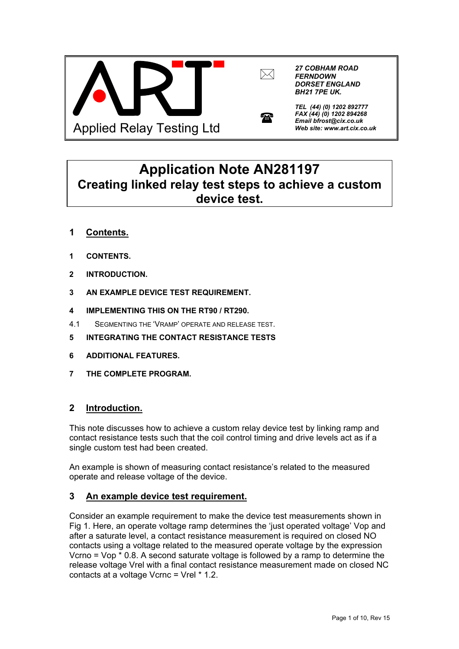



 $\mathbf{r}$ 

*27 COBHAM ROAD FERNDOWN DORSET ENGLAND BH21 7PE UK.*



*FAX (44) (0) 1202 894268 Email bfrost@cix.co.uk Web site: www.art.cix.co.uk* 

# **Application Note AN281197 Creating linked relay test steps to achieve a custom device test.**

- **1 Contents.**
- **1 CONTENTS.**
- **2 INTRODUCTION.**
- **3 AN EXAMPLE DEVICE TEST REQUIREMENT.**
- **4 IMPLEMENTING THIS ON THE RT90 / RT290.**
- 4.1 SEGMENTING THE 'VRAMP' OPERATE AND RELEASE TEST.
- **5 INTEGRATING THE CONTACT RESISTANCE TESTS**
- **6 ADDITIONAL FEATURES.**
- **7 THE COMPLETE PROGRAM.**

# **2 Introduction.**

This note discusses how to achieve a custom relay device test by linking ramp and contact resistance tests such that the coil control timing and drive levels act as if a single custom test had been created.

An example is shown of measuring contact resistance's related to the measured operate and release voltage of the device.

# **3 An example device test requirement.**

Consider an example requirement to make the device test measurements shown in Fig 1. Here, an operate voltage ramp determines the 'just operated voltage' Vop and after a saturate level, a contact resistance measurement is required on closed NO contacts using a voltage related to the measured operate voltage by the expression Vcrno = Vop \* 0.8. A second saturate voltage is followed by a ramp to determine the release voltage Vrel with a final contact resistance measurement made on closed NC contacts at a voltage Vcrnc = Vrel \* 1.2.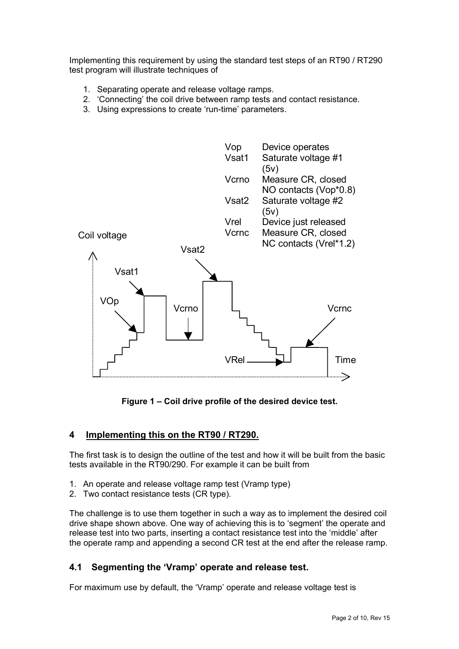Implementing this requirement by using the standard test steps of an RT90 / RT290 test program will illustrate techniques of

- 1. Separating operate and release voltage ramps.
- 2. 'Connecting' the coil drive between ramp tests and contact resistance.
- 3. Using expressions to create 'run-time' parameters.



**Figure 1 – Coil drive profile of the desired device test.** 

## **4 Implementing this on the RT90 / RT290.**

The first task is to design the outline of the test and how it will be built from the basic tests available in the RT90/290. For example it can be built from

- 1. An operate and release voltage ramp test (Vramp type)
- 2. Two contact resistance tests (CR type).

The challenge is to use them together in such a way as to implement the desired coil drive shape shown above. One way of achieving this is to 'segment' the operate and release test into two parts, inserting a contact resistance test into the 'middle' after the operate ramp and appending a second CR test at the end after the release ramp.

## **4.1 Segmenting the 'Vramp' operate and release test.**

For maximum use by default, the 'Vramp' operate and release voltage test is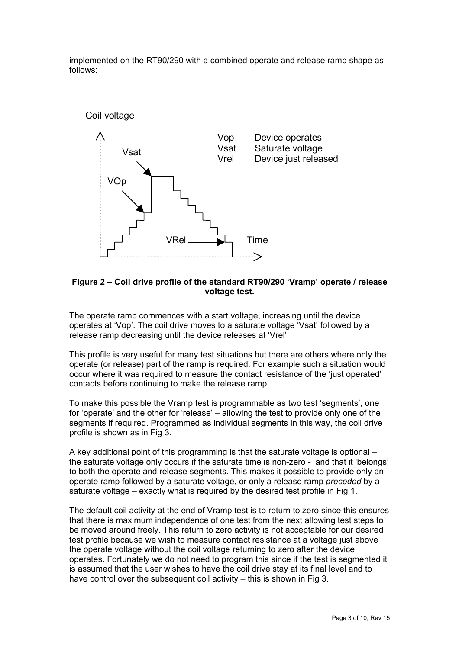implemented on the RT90/290 with a combined operate and release ramp shape as follows:



#### **Figure 2 – Coil drive profile of the standard RT90/290 'Vramp' operate / release voltage test.**

The operate ramp commences with a start voltage, increasing until the device operates at 'Vop'. The coil drive moves to a saturate voltage 'Vsat' followed by a release ramp decreasing until the device releases at 'Vrel'.

This profile is very useful for many test situations but there are others where only the operate (or release) part of the ramp is required. For example such a situation would occur where it was required to measure the contact resistance of the 'just operated' contacts before continuing to make the release ramp.

To make this possible the Vramp test is programmable as two test 'segments', one for 'operate' and the other for 'release' – allowing the test to provide only one of the segments if required. Programmed as individual segments in this way, the coil drive profile is shown as in Fig 3.

A key additional point of this programming is that the saturate voltage is optional – the saturate voltage only occurs if the saturate time is non-zero - and that it 'belongs' to both the operate and release segments. This makes it possible to provide only an operate ramp followed by a saturate voltage, or only a release ramp *preceded* by a saturate voltage – exactly what is required by the desired test profile in Fig 1.

The default coil activity at the end of Vramp test is to return to zero since this ensures that there is maximum independence of one test from the next allowing test steps to be moved around freely. This return to zero activity is not acceptable for our desired test profile because we wish to measure contact resistance at a voltage just above the operate voltage without the coil voltage returning to zero after the device operates. Fortunately we do not need to program this since if the test is segmented it is assumed that the user wishes to have the coil drive stay at its final level and to have control over the subsequent coil activity – this is shown in Fig 3.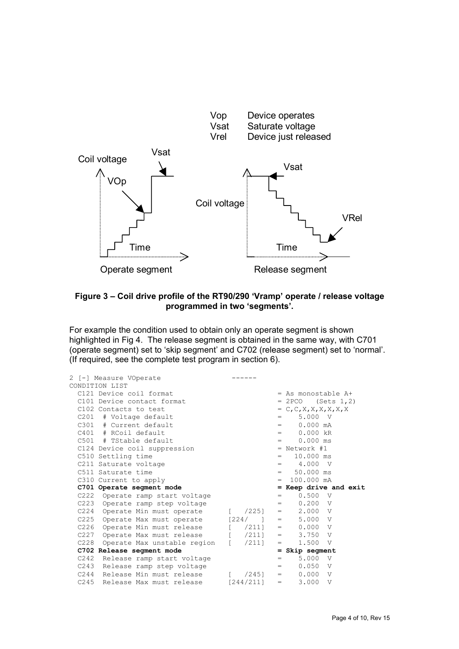

#### **Figure 3 – Coil drive profile of the RT90/290 'Vramp' operate / release voltage programmed in two 'segments'.**

For example the condition used to obtain only an operate segment is shown highlighted in Fig 4. The release segment is obtained in the same way, with C701 (operate segment) set to 'skip segment' and C702 (release segment) set to 'normal'. (If required, see the complete test program in section 6).

| 2 [-] Measure VOperate                                                   |               |                                           |
|--------------------------------------------------------------------------|---------------|-------------------------------------------|
| CONDITION LIST                                                           |               |                                           |
| C121 Device coil format                                                  |               | = As monostable A+                        |
| C101 Device contact format                                               |               | $= 2PCO$ (Sets 1,2)                       |
| C102 Contacts to test                                                    |               | $= C, C, X, X, X, X, X, X$                |
| C201 # Voltage default                                                   |               | $= 5.000 V$                               |
| $C301$ # Current default                                                 |               | $0.000 \, \text{mA}$<br>$=$ $-$           |
| $C401$ # RCoil default                                                   |               | 0.000 kR<br>$=$ $-$                       |
| $C501$ # TStable default                                                 |               | $= 0.000$ ms                              |
| C124 Device coil suppression                                             |               | $=$ Network #1                            |
| C510 Settling time                                                       |               | 10.000 ms<br>$=$ $-$                      |
| C211 Saturate voltage                                                    |               | $= 4.000 V$                               |
| C511 Saturate time                                                       |               | 50.000 ms<br>$=$ $-$                      |
|                                                                          |               |                                           |
| C310 Current to apply                                                    |               | $= 100.000 \text{ mA}$                    |
| C701 Operate segment mode                                                |               | = Keep drive and exit                     |
| C222 Operate ramp start voltage                                          |               | $0.500 \tV$<br>$=$ $-$                    |
| C223 Operate ramp step voltage                                           |               | $= 0.200 V$                               |
| C224 Operate Min must operate                                            |               | $[$ $/225]$ = 2.000 V                     |
| C225 Operate Max must operate $[224/ ] = 5.000$ V                        |               |                                           |
| C226 Operate Min must release [ /211]                                    |               | $= 0.000 V$                               |
| Operate Max must release [ /211]<br>C227                                 |               | $= 3.750 V$                               |
| C228<br>Operate Max unstable region [ /211]                              |               | 1.500 V<br>$\mathbf{r}$ and $\mathbf{r}$  |
| C702 Release segment mode                                                |               | $=$ Skip seqment                          |
| C242 Release ramp start voltage                                          |               | 5.000 V<br>$=$ $-$                        |
| C243 Release ramp step voltage                                           |               | 0.050 V<br>$=$ $-$                        |
| C244 Release Min must release<br>C245 Release Max must release [244/211] | $\sqrt{2451}$ | $= 0.000 V$<br>3.000 V<br>$\equiv 1.0000$ |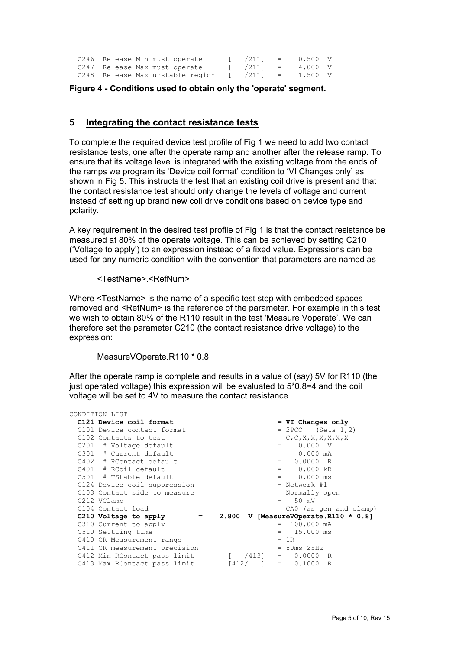| C246 Release Min must operate    |  | $\sqrt{2111} = 0.500 \text{ V}$ |         |  |
|----------------------------------|--|---------------------------------|---------|--|
| C247 Release Max must operate    |  | $\sqrt{2111} = 4.000 \text{ V}$ |         |  |
| C248 Release Max unstable region |  | $[ /211 ] =$                    | 1.500 V |  |

**Figure 4 - Conditions used to obtain only the 'operate' segment.** 

#### **5 Integrating the contact resistance tests**

To complete the required device test profile of Fig 1 we need to add two contact resistance tests, one after the operate ramp and another after the release ramp. To ensure that its voltage level is integrated with the existing voltage from the ends of the ramps we program its 'Device coil format' condition to 'VI Changes only' as shown in Fig 5. This instructs the test that an existing coil drive is present and that the contact resistance test should only change the levels of voltage and current instead of setting up brand new coil drive conditions based on device type and polarity.

A key requirement in the desired test profile of Fig 1 is that the contact resistance be measured at 80% of the operate voltage. This can be achieved by setting C210 ('Voltage to apply') to an expression instead of a fixed value. Expressions can be used for any numeric condition with the convention that parameters are named as

<TestName>.<RefNum>

Where <TestName> is the name of a specific test step with embedded spaces removed and <RefNum> is the reference of the parameter. For example in this test we wish to obtain 80% of the R110 result in the test 'Measure Voperate'. We can therefore set the parameter C210 (the contact resistance drive voltage) to the expression:

MeasureVOperate.R110 \* 0.8

After the operate ramp is complete and results in a value of (say) 5V for R110 (the just operated voltage) this expression will be evaluated to 5\*0.8=4 and the coil voltage will be set to 4V to measure the contact resistance.

| CONDITION LIST                                     |                                                         |
|----------------------------------------------------|---------------------------------------------------------|
| C121 Device coil format                            | $= VI$ Changes only                                     |
| C101 Device contact format                         | $= 2PCO$ (Sets 1,2)                                     |
| C102 Contacts to test                              | $= C, C, X, X, X, X, X, X$                              |
| C201 # Voltage default                             | $0.000 \tV$<br>$=$ $-$                                  |
| $C301$ # Current default                           | $= 0.000 \text{ mA}$                                    |
| C402 # RContact default                            | $0.0000$ R<br>$=$ $-$                                   |
| C401 # RCoil default                               | $= 0.000 \text{ kR}$                                    |
| $C501$ # TStable default                           | $= 0.000$ ms                                            |
| C124 Device coil suppression                       | $=$ Network #1                                          |
| C103 Contact side to measure                       | = Normally open                                         |
| C212 VClamp                                        | 50 mV<br>$=$ $-$                                        |
| C104 Contact load                                  | = CAO (as gen and clamp)                                |
| C210 Voltage to apply<br>$\mathbf{r} = \mathbf{r}$ | 2.800 V [MeasureVOperate.R110 * 0.8]                    |
| C310 Current to apply                              | $= 100.000 \text{ mA}$                                  |
| C510 Settling time                                 | 15.000 ms<br>$=$ $-$                                    |
| C410 CR Measurement range                          | $= 1R$                                                  |
| C411 CR measurement precision                      | $=$ 80ms 25Hz                                           |
| C412 Min RContact pass limit                       | $\left( \frac{4131}{2} \right)$<br>$= 0.0000 \text{ R}$ |
| C413 Max RContact pass limit                       | $[412/$ $] = 0.1000$ R                                  |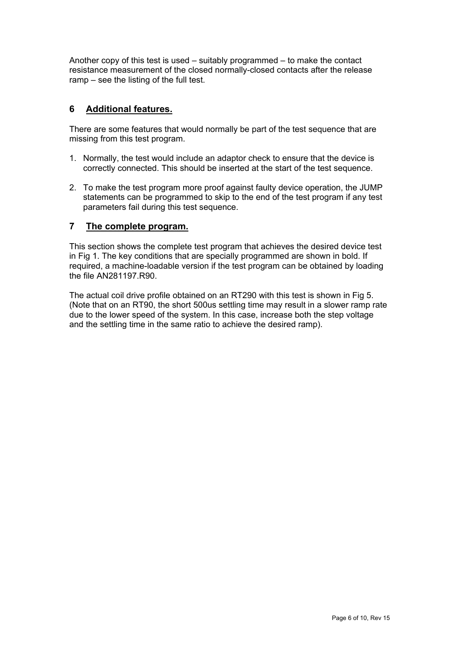Another copy of this test is used – suitably programmed – to make the contact resistance measurement of the closed normally-closed contacts after the release ramp – see the listing of the full test.

## **6 Additional features.**

There are some features that would normally be part of the test sequence that are missing from this test program.

- 1. Normally, the test would include an adaptor check to ensure that the device is correctly connected. This should be inserted at the start of the test sequence.
- 2. To make the test program more proof against faulty device operation, the JUMP statements can be programmed to skip to the end of the test program if any test parameters fail during this test sequence.

## **7 The complete program.**

This section shows the complete test program that achieves the desired device test in Fig 1. The key conditions that are specially programmed are shown in bold. If required, a machine-loadable version if the test program can be obtained by loading the file AN281197.R90.

The actual coil drive profile obtained on an RT290 with this test is shown in Fig 5. (Note that on an RT90, the short 500us settling time may result in a slower ramp rate due to the lower speed of the system. In this case, increase both the step voltage and the settling time in the same ratio to achieve the desired ramp).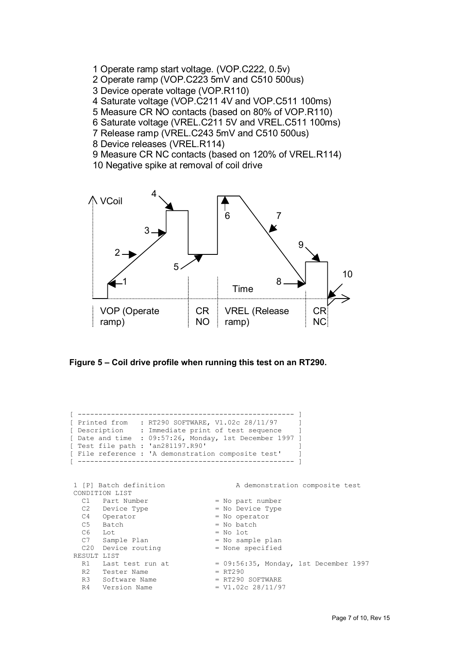- 1 Operate ramp start voltage. (VOP.C222, 0.5v)
- 2 Operate ramp (VOP.C223 5mV and C510 500us)
- 3 Device operate voltage (VOP.R110)
- 4 Saturate voltage (VOP.C211 4V and VOP.C511 100ms)
- 5 Measure CR NO contacts (based on 80% of VOP.R110)
- 6 Saturate voltage (VREL.C211 5V and VREL.C511 100ms)
- 7 Release ramp (VREL.C243 5mV and C510 500us)
- 8 Device releases (VREL.R114)
- 9 Measure CR NC contacts (based on 120% of VREL.R114)
- 10 Negative spike at removal of coil drive





```
[ ---------------------------------------------------- ] 
[ Printed from : RT290 SOFTWARE, V1.02c 28/11/97 ]
[ Description : Immediate print of test sequence ]
[ Date and time : 09:57:26, Monday, 1st December 1997 ] 
[ Test file path : 'an281197.R90' ]
[ File reference : 'A demonstration composite test' ]
 [ ---------------------------------------------------- ] 
 1 [P] Batch definition A demonstration composite test 
CONDITION LIST<br>C1 Part Number
                                    = No part number<br>= No Device Type
  C2 Device Type
   C4 Operator = No operator<br>C5 Batch = No batch
  C5 Batch = No batch
  \begin{array}{lll} \text{C6} & \text{Lot} & = \text{No} \text{ lot} \\ \text{C7} & \text{Sample Plan} & = \text{No sam} \end{array}C7 Sample Plan = No sample plan
  C20 Device routing = None specified
RESULT LIST<br>R1 Last test run at
   R1 Last test run at = 09:56:35, Monday, 1st December 1997<br>R2 Tester Name = RT290R2 Tester Name<br>R3 Software Name
                                    = RT290 SOFTWARE<br>= V1.02c 28/11/97
  R4 Version Name
```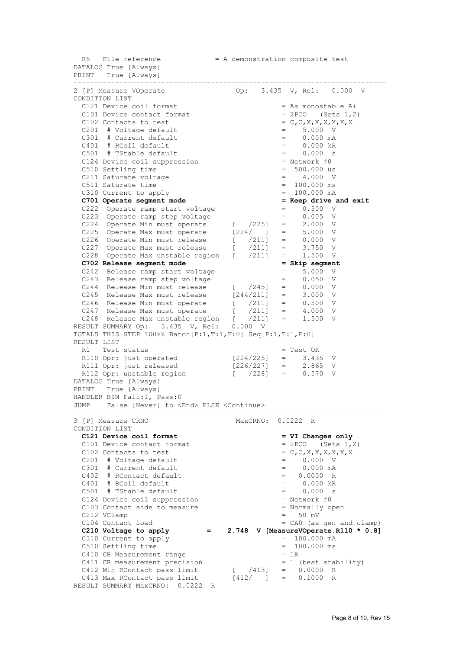$R5$  File reference  $= A$  demonstration composite test DATALOG True [Always] PRINT True [Always] --------------------------------------------------------------------------- 2 [P] Measure VOperate CONDITION LIST C121 Device coil format  $=$  As monostable A+<br>C101 Device contact format  $=$  2PCO (Sets 1,2) C101 Device contact format  $= 2PCO$  (Sets 1, 2)<br>C102 Contacts to test  $= C, C, X, X, X, X, X, X, X$ C102 Contacts to test  $C201$  # Voltage default  $C301$  # Current default  $C301$  # Current default  $C301$  = 0.000 mA  $C201$  # Voltage default  $=$  5.000 V  $C301$  # Current default  $=$  0.000 mA  $C401$  # RCoil default  $C501$  # TStable default  $C501$  = 0.000 s  $C501$  # TStable default C124 Device coil suppression  $\overline{c}$  = Network #0  $\overline{c}$  = 500.000 us C510 Settling time C211 Saturate voltage  $\begin{array}{ccc} - & 4.000 & \text{V} \\ - & 4.000 & \text{V} \\ \end{array}$ C511 Saturate time  $C310$  Current to apply  $= 100.000$  ms  $= 100.000$  mA C310 Current to apply **C701 Operate segment mode** = **Keep drive and exit**  $C222$  Operate ramp start voltage = 0.500 V C222 Operate ramp start voltage  $C223$  Operate ramp step voltage  $C224$  Operate Min must operate  $C225$  = 2.000 V C223 Operate ramp step voltage = 0.005 V C224 Operate Min must operate [ /225] = 2.000 V C225 Operate Max must operate [224/ ] = 5.000 V C226 Operate Min must release [ /211] = 0.000 V C227 Operate Max must release [ /211] = 3.750 V C228 Operate Max unstable region [ /211] = 1.500 V **C702 Release segment mode = Skip segment**   $C242$  Release ramp start voltage  $C243$  Release ramp step voltage  $C243$  = 0.050 V C243 Release ramp step voltage = 0.050 V C244 Release Min must release  $($   $/245$ ] = 0.000 V C245 Release Max must release  $[244/211]$  = 3.000 V C246 Release Min must operate  $($   $/211$ ] = 0.500 V C247 Release Max must operate  $($   $/211$ ] = 4.000 V C248 Release Max unstable region [ /211] = 1.500 V RESULT SUMMARY Op: 3.435 V, Rel: 0.000 V TOTALS THIS STEP 100%% Batch[P:1,T:1,F:0] Seq[P:1,T:1,F:0] RESULT LIST R1 Test status = Test OK R110 Opr: just operated [224/225] = 3.435 V R111 Opr: just released [226/227] = 2.865 V R112 Opr: unstable region [ /228] = 0.570 V DATALOG True [Always] PRINT True [Always] HANDLER BIN Fail:1, Pass:0 JUMP False [Never] to <End> ELSE <Continue> --------------------------------------------------------------------------- MaxCRNO: 0.0222 R CONDITION LIST  **C121 Device coil format = VI Changes only**  C101 Device contact format  $= 2PCO$  (Sets 1,2)<br>C102 Contacts to test  $= C, C, X, X, X, X, X, X$ C102 Contacts to test  $= C_r C_r X_r X_r X_r X_r$ <br>
C201 # Voltage default  $= 0.000 \text{ V}$  $C201$  # Voltage default  $C301$  # Current default  $C301$  # Current default  $C301$  = 0.000 mA  $C301$  # Current default  $=$  0.000 mA  $C402$  # RContact default  $=$  0.0000 R C401 # RCoil default = 0.000 kR<br>C501 # TStable default = 0.000 s  $C501$  # TStable default  $C124$  Device coil suppression  $C103$  Contact side to measure  $\qquad$  = Normally open C103 Contact side to measure  $C212$  VClamp  $=$  50 mV<br> $C104$  Contact load  $=$  CA0 (as gen and clamp) C104 Contact load = CA0 (as gen and clamp) C210 Voltage to apply  $= 2.748$  V [MeasureVOperate.R110  $* 0.8$ ] C310 Current to apply  $=$  100.000 mA C510 Settling time  $C410$  CR Measurement range  $= 100.000$  ms  $= 1R$ C410 CR Measurement range C411 CR measurement precision  $= 1$  (best stability) C412 Min RContact pass limit  $($   $/413$ ] = 0.0000 R C413 Max RContact pass limit  $[412/ ] = 0.1000 R$ RESULT SUMMARY MaxCRNO: 0.0222 R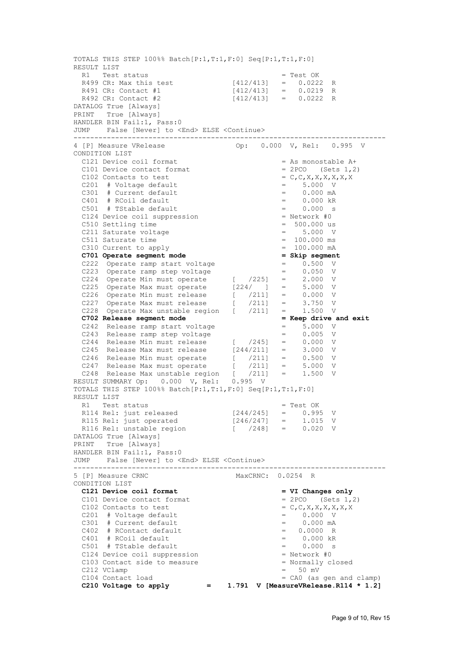TOTALS THIS STEP 100%% Batch[P:1,T:1,F:0] Seq[P:1,T:1,F:0] RESULT LIST R1 Test status = Test OK R499 CR: Max this test [412/413] = 0.0222 R R491 CR: Contact #1 [412/413] = 0.0219 R R492 CR: Contact #2 [412/413] = 0.0222 R DATALOG True [Always] PRINT True [Always] HANDLER BIN Fail:1, Pass:0 JUMP False [Never] to <End> ELSE <Continue> --------------------------------------------------------------------------- 0p: 0.000 V, Rel: 0.995 V CONDITION LIST C121 Device coil format  $=$  As monostable A+<br>C101 Device contact format  $=$  2PCO (Sets 1,2) C101 Device contact format C102 Contacts to test  $= C,C,X,X,X,X,X,X,X$ <br>C201 # Voltage default  $= 5.000 \text{ V}$  $C201$  # Voltage default  $C301$  # Current default  $C301$  = 0.000 mA  $C301$  # Current default  $C401$  # RCoil default  $C501$  # TStable default  $C501$  = 0.000 s  $C501$  # TStable default  $C124$  Device coil suppression  $\begin{array}{ccc} - & 0.000 & 5 \\ - & 0.000 & 5 \end{array}$  = Network #0 C124 Device coil suppression C510 Settling time  $\begin{array}{ccc} 0.510 & 0.000 \\ -0.510 & 0.000 \\ -0.511 & 0.000 \end{array}$  = 5.000 W  $C211$  Saturate voltage  $C511$  Saturate time  $C511$  Saturate time  $C511$ C511 Saturate time C310 Current to apply  $= 100.000$  mA  **C701 Operate segment mode**  $\begin{array}{rcl} = & \text{skip segment} \\ \text{C222} & \text{operate ramp start voltage} \\ \text{C223} & \text{operate ramp step voltage} \\ \end{array}$  = 0.500 V C222 Operate ramp start voltage = = 0.500 = 0.500 Verate ramp step voltage = = 0.500 Verate ramp step voltage = 0.500 Verate ramp step voltage = 0.500 Verate ramp step voltage = 0.500 Verate ramp step voltage = 0.500 Verat C223 Operate ramp step voltage = 0.050 V C224 Operate Min must operate  $($   $/225)$  = 2.000 V C225 Operate Max must operate [224/ ] = 5.000 V C226 Operate Min must release [ /211] = 0.000 V C227 Operate Max must release [ /211] = 3.750 V C228 Operate Max unstable region [ /211] = 1.500 V  **C702 Release segment mode = Keep drive and exit**  C242 Release ramp start voltage = 5.000 V C243 Release ramp step voltage = 0.005 V C244 Release Min must release [ /245] = 0.000 V C245 Release Max must release  $[244/211]$  = 3.000 V C246 Release Min must operate  $($   $/211$ ] = 0.500 V C247 Release Max must operate [ /211] = 5.000 V C248 Release Max unstable region [ /211] = 1.500 V RESULT SUMMARY Op: 0.000 V, Rel: 0.995 V TOTALS THIS STEP 100%% Batch[P:1,T:1,F:0] Seq[P:1,T:1,F:0] RESULT LIST<br>R1 Test status R1 Test status = Test OK R114 Rel: just released [244/245] = 0.995 V R115 Rel: just operated [246/247] = 1.015 V R116 Rel: unstable region [ /248] = 0.020 V DATALOG True [Always] PRINT True [Always] HANDLER BIN Fail:1, Pass:0 JUMP False [Never] to <End> ELSE <Continue> --------------------------------------------------------------------------- MaxCRNC: 0.0254 R CONDITION LIST  **C121 Device coil format = VI Changes only**  C101 Device contact format  $= 2PCO$  (Sets 1,2) C102 Contacts to test  $C201$  # Voltage default  $C301$  # Current default  $C301$  # Current default  $C301$  = 0.000 mA  $C201$  # Voltage default  $=$  0.000 V  $C301$  # Current default  $=$  0.000 mA  $C402$  # RContact default  $C401$  # RCoil default  $C401$  = 0.0000 R  $C401$  # RCoil default  $C501$  # Tstable default  $C501$  = 0.000 s  $C501$  # TStable default  $= 0.000$  s<br> $C124$  Device coil suppression  $=$  Network #0 C124 Device coil suppression C103 Contact side to measure = Normally closed  $C212$  VClamp = 50 mV<br> $C104$  Contact load = CAO (as = CA0 (as gen and clamp) C210 Voltage to apply  $= 1.791$  V [MeasureVRelease.R114  $* 1.2$ ]